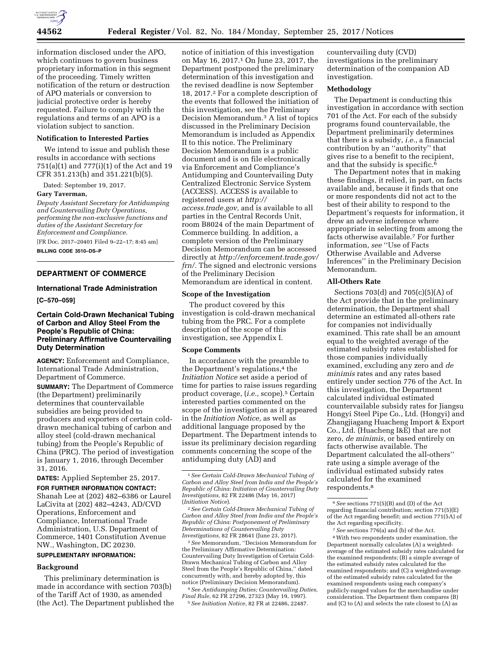

information disclosed under the APO, which continues to govern business proprietary information in this segment of the proceeding. Timely written notification of the return or destruction of APO materials or conversion to judicial protective order is hereby requested. Failure to comply with the regulations and terms of an APO is a violation subject to sanction.

## **Notification to Interested Parties**

We intend to issue and publish these results in accordance with sections 751(a)(1) and 777(i)(1) of the Act and 19 CFR 351.213(h) and 351.221(b)(5).

Dated: September 19, 2017.

#### **Gary Taverman,**

*Deputy Assistant Secretary for Antidumping and Countervailing Duty Operations, performing the non-exclusive functions and duties of the Assistant Secretary for Enforcement and Compliance.* 

[FR Doc. 2017–20401 Filed 9–22–17; 8:45 am] **BILLING CODE 3510–DS–P** 

## **DEPARTMENT OF COMMERCE**

## **International Trade Administration**

**[C–570–059]** 

## **Certain Cold-Drawn Mechanical Tubing of Carbon and Alloy Steel From the People's Republic of China: Preliminary Affirmative Countervailing Duty Determination**

**AGENCY:** Enforcement and Compliance, International Trade Administration, Department of Commerce.

**SUMMARY:** The Department of Commerce (the Department) preliminarily determines that countervailable subsidies are being provided to producers and exporters of certain colddrawn mechanical tubing of carbon and alloy steel (cold-drawn mechanical tubing) from the People's Republic of China (PRC). The period of investigation is January 1, 2016, through December 31, 2016.

**DATES:** Applied September 25, 2017.

**FOR FURTHER INFORMATION CONTACT:**  Shanah Lee at (202) 482–6386 or Laurel LaCivita at (202) 482–4243, AD/CVD Operations, Enforcement and Compliance, International Trade Administration, U.S. Department of Commerce, 1401 Constitution Avenue NW., Washington, DC 20230.

# **SUPPLEMENTARY INFORMATION:**

### **Background**

This preliminary determination is made in accordance with section 703(b) of the Tariff Act of 1930, as amended (the Act). The Department published the

notice of initiation of this investigation on May 16, 2017.1 On June 23, 2017, the Department postponed the preliminary determination of this investigation and the revised deadline is now September 18, 2017.2 For a complete description of the events that followed the initiation of this investigation, see the Preliminary Decision Memorandum.3 A list of topics discussed in the Preliminary Decision Memorandum is included as Appendix II to this notice. The Preliminary Decision Memorandum is a public document and is on file electronically via Enforcement and Compliance's Antidumping and Countervailing Duty Centralized Electronic Service System (ACCESS). ACCESS is available to registered users at *[http://](http://access.trade.gov) [access.trade.gov,](http://access.trade.gov)* and is available to all parties in the Central Records Unit, room B8024 of the main Department of Commerce building. In addition, a complete version of the Preliminary Decision Memorandum can be accessed directly at *[http://enforcement.trade.gov/](http://enforcement.trade.gov/frn/)  [frn/.](http://enforcement.trade.gov/frn/)* The signed and electronic versions of the Preliminary Decision Memorandum are identical in content.

### **Scope of the Investigation**

The product covered by this investigation is cold-drawn mechanical tubing from the PRC. For a complete description of the scope of this investigation, see Appendix I.

### **Scope Comments**

In accordance with the preamble to the Department's regulations,<sup>4</sup> the *Initiation Notice* set aside a period of time for parties to raise issues regarding product coverage, (i.e., scope).<sup>5</sup> Certain interested parties commented on the scope of the investigation as it appeared in the *Initiation Notice,* as well as additional language proposed by the Department. The Department intends to issue its preliminary decision regarding comments concerning the scope of the antidumping duty (AD) and

2*See Certain Cold-Drawn Mechanical Tubing of Carbon and Alloy Steel from India and the People's Republic of China: Postponement of Preliminary Determinations of Countervailing Duty Investigations,* 82 FR 28641 (June 23, 2017).

3*See* Memorandum, ''Decision Memorandum for the Preliminary Affirmative Determination: Countervailing Duty Investigation of Certain Cold-Drawn Mechanical Tubing of Carbon and Alloy Steel from the People's Republic of China,'' dated concurrently with, and hereby adopted by, this notice (Preliminary Decision Memorandum).

4*See Antidumping Duties; Countervailing Duties, Final Rule,* 62 FR 27296, 27323 (May 19, 1997). 5*See Initiation Notice,* 82 FR at 22486, 22487.

countervailing duty (CVD) investigations in the preliminary determination of the companion AD investigation.

## **Methodology**

The Department is conducting this investigation in accordance with section 701 of the Act. For each of the subsidy programs found countervailable, the Department preliminarily determines that there is a subsidy, *i.e.*, a financial contribution by an ''authority'' that gives rise to a benefit to the recipient, and that the subsidy is specific.6

The Department notes that in making these findings, it relied, in part, on facts available and, because it finds that one or more respondents did not act to the best of their ability to respond to the Department's requests for information, it drew an adverse inference where appropriate in selecting from among the facts otherwise available.7 For further information, *see* ''Use of Facts Otherwise Available and Adverse Inferences'' in the Preliminary Decision Memorandum.

## **All-Others Rate**

Sections  $703(d)$  and  $705(c)(5)(A)$  of the Act provide that in the preliminary determination, the Department shall determine an estimated all-others rate for companies not individually examined. This rate shall be an amount equal to the weighted average of the estimated subsidy rates established for those companies individually examined, excluding any zero and *de minimis* rates and any rates based entirely under section 776 of the Act. In this investigation, the Department calculated individual estimated countervailable subsidy rates for Jiangsu Hongyi Steel Pipe Co., Ltd. (Hongyi) and Zhangjiagang Huacheng Import & Export Co., Ltd. (Huacheng I&E) that are not zero, *de minimis*, or based entirely on facts otherwise available. The Department calculated the all-others'' rate using a simple average of the individual estimated subsidy rates calculated for the examined respondents.8

<sup>1</sup>*See Certain Cold-Drawn Mechanical Tubing of Carbon and Alloy Steel from India and the People's Republic of China: Initiation of Countervailing Duty Investigations,* 82 FR 22486 (May 16, 2017) (*Initiation Notice*).

<sup>6</sup>*See* sections 771(5)(B) and (D) of the Act regarding financial contribution; section 771(5)(E) of the Act regarding benefit; and section 771(5A) of the Act regarding specificity.

<sup>7</sup>*See* sections 776(a) and (b) of the Act. 8With two respondents under examination, the Department normally calculates (A) a weightedaverage of the estimated subsidy rates calculated for the examined respondents; (B) a simple average of the estimated subsidy rates calculated for the examined respondents; and (C) a weighted-average of the estimated subsidy rates calculated for the examined respondents using each company's publicly-ranged values for the merchandise under consideration. The Department then compares (B) and (C) to (A) and selects the rate closest to (A) as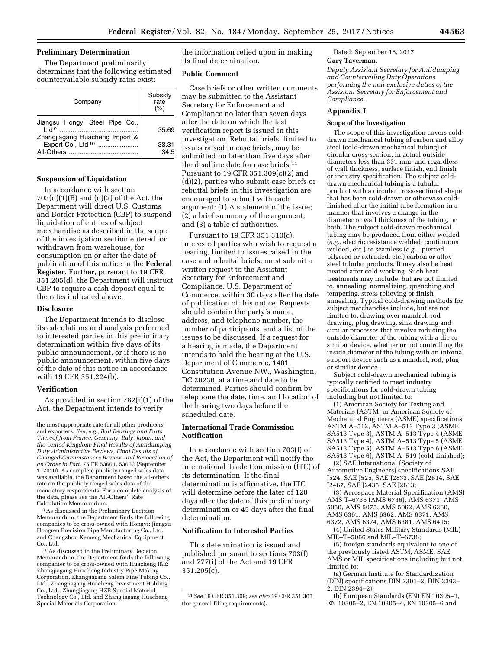## **Preliminary Determination**

The Department preliminarily determines that the following estimated countervailable subsidy rates exist:

| Company                                                                   | Subsidy<br>rate<br>(%) |
|---------------------------------------------------------------------------|------------------------|
| Jiangsu Hongyi Steel Pipe Co.,<br>eht I<br>Zhangjiagang Huacheng Import & | 35.69                  |
| Export Co., Ltd <sup>10</sup><br>All-Others                               | 33.31<br>34.5          |

# **Suspension of Liquidation**

In accordance with section  $703(d)(1)(B)$  and  $(d)(2)$  of the Act, the Department will direct U.S. Customs and Border Protection (CBP) to suspend liquidation of entries of subject merchandise as described in the scope of the investigation section entered, or withdrawn from warehouse, for consumption on or after the date of publication of this notice in the **Federal Register**. Further, pursuant to 19 CFR 351.205(d), the Department will instruct CBP to require a cash deposit equal to the rates indicated above.

### **Disclosure**

The Department intends to disclose its calculations and analysis performed to interested parties in this preliminary determination within five days of its public announcement, or if there is no public announcement, within five days of the date of this notice in accordance with 19 CFR 351.224(b).

### **Verification**

As provided in section 782(i)(1) of the Act, the Department intends to verify

9As discussed in the Preliminary Decision Memorandum, the Department finds the following companies to be cross-owned with Hongyi: Jiangsu Hongren Precision Pipe Manufacturing Co., Ltd. and Changzhou Kemeng Mechanical Equipment Co., Ltd.

10As discussed in the Preliminary Decision Memorandum, the Department finds the following companies to be cross-owned with Huacheng I&E: Zhangjiagang Huacheng Industry Pipe Making Corporation, Zhangjiagang Salem Fine Tubing Co., Ltd., Zhangjiagang Huacheng Investment Holding Co., Ltd., Zhangjiagang HZB Special Material Technology Co., Ltd. and Zhangjiagang Huacheng Special Materials Corporation.

the information relied upon in making its final determination.

## **Public Comment**

Case briefs or other written comments may be submitted to the Assistant Secretary for Enforcement and Compliance no later than seven days after the date on which the last verification report is issued in this investigation. Rebuttal briefs, limited to issues raised in case briefs, may be submitted no later than five days after the deadline date for case briefs.11 Pursuant to 19 CFR 351.309(c)(2) and (d)(2), parties who submit case briefs or rebuttal briefs in this investigation are encouraged to submit with each argument: (1) A statement of the issue; (2) a brief summary of the argument; and (3) a table of authorities.

Pursuant to 19 CFR 351.310(c), interested parties who wish to request a hearing, limited to issues raised in the case and rebuttal briefs, must submit a written request to the Assistant Secretary for Enforcement and Compliance, U.S. Department of Commerce, within 30 days after the date of publication of this notice. Requests should contain the party's name, address, and telephone number, the number of participants, and a list of the issues to be discussed. If a request for a hearing is made, the Department intends to hold the hearing at the U.S. Department of Commerce, 1401 Constitution Avenue NW., Washington, DC 20230, at a time and date to be determined. Parties should confirm by telephone the date, time, and location of the hearing two days before the scheduled date.

# **International Trade Commission Notification**

In accordance with section 703(f) of the Act, the Department will notify the International Trade Commission (ITC) of its determination. If the final determination is affirmative, the ITC will determine before the later of 120 days after the date of this preliminary determination or 45 days after the final determination.

## **Notification to Interested Parties**

This determination is issued and published pursuant to sections 703(f) and 777(i) of the Act and 19 CFR 351.205(c).

Dated: September 18, 2017.

### **Gary Taverman,**

*Deputy Assistant Secretary for Antidumping and Countervailing Duty Operations performing the non-exclusive duties of the Assistant Secretary for Enforcement and Compliance.* 

# **Appendix I**

### **Scope of the Investigation**

The scope of this investigation covers colddrawn mechanical tubing of carbon and alloy steel (cold-drawn mechanical tubing) of circular cross-section, in actual outside diameters less than 331 mm, and regardless of wall thickness, surface finish, end finish or industry specification. The subject colddrawn mechanical tubing is a tubular product with a circular cross-sectional shape that has been cold-drawn or otherwise coldfinished after the initial tube formation in a manner that involves a change in the diameter or wall thickness of the tubing, or both. The subject cold-drawn mechanical tubing may be produced from either welded (*e.g.,* electric resistance welded, continuous welded, etc.) or seamless (*e.g.* , pierced, pilgered or extruded, etc.) carbon or alloy steel tubular products. It may also be heat treated after cold working. Such heat treatments may include, but are not limited to, annealing, normalizing, quenching and tempering, stress relieving or finish annealing. Typical cold-drawing methods for subject merchandise include, but are not limited to, drawing over mandrel, rod drawing, plug drawing, sink drawing and similar processes that involve reducing the outside diameter of the tubing with a die or similar device, whether or not controlling the inside diameter of the tubing with an internal support device such as a mandrel, rod, plug or similar device.

Subject cold-drawn mechanical tubing is typically certified to meet industry specifications for cold-drawn tubing including but not limited to:

(1) American Society for Testing and Materials (ASTM) or American Society of Mechanical Engineers (ASME) specifications ASTM A–512, ASTM A–513 Type 3 (ASME SA513 Type 3), ASTM A–513 Type 4 (ASME SA513 Type 4), ASTM A–513 Type 5 (ASME SA513 Type 5), ASTM A–513 Type 6 (ASME SA513 Type 6), ASTM A–519 (cold-finished);

(2) SAE International (Society of Automotive Engineers) specifications SAE J524, SAE J525, SAE J2833, SAE J2614, SAE J2467, SAE J2435, SAE J2613;

(3) Aerospace Material Specification (AMS) AMS T–6736 (AMS 6736), AMS 6371, AMS 5050, AMS 5075, AMS 5062, AMS 6360, AMS 6361, AMS 6362, AMS 6371, AMS 6372, AMS 6374, AMS 6381, AMS 6415;

(4) United States Military Standards (MIL) MIL–T–5066 and MIL–T–6736;

(5) foreign standards equivalent to one of the previously listed ASTM, ASME, SAE, AMS or MIL specifications including but not limited to:

(a) German Institute for Standardization (DIN) specifications DIN 2391–2, DIN 2393– 2, DIN 2394–2);

(b) European Standards (EN) EN 10305–1, EN 10305–2, EN 10305–4, EN 10305–6 and

the most appropriate rate for all other producers and exporters. *See, e.g., Ball Bearings and Parts Thereof from France, Germany, Italy, Japan, and the United Kingdom: Final Results of Antidumping Duty Administrative Reviews, Final Results of Changed-Circumstances Review, and Revocation of an Order in Part,* 75 FR 53661, 53663 (September 1, 2010). As complete publicly ranged sales data was available, the Department based the all-others rate on the publicly ranged sales data of the mandatory respondents. For a complete analysis of the data, please see the All-Others'' Rate Calculation Memorandum.

<sup>11</sup>*See* 19 CFR 351.309; *see also* 19 CFR 351.303 (for general filing requirements).